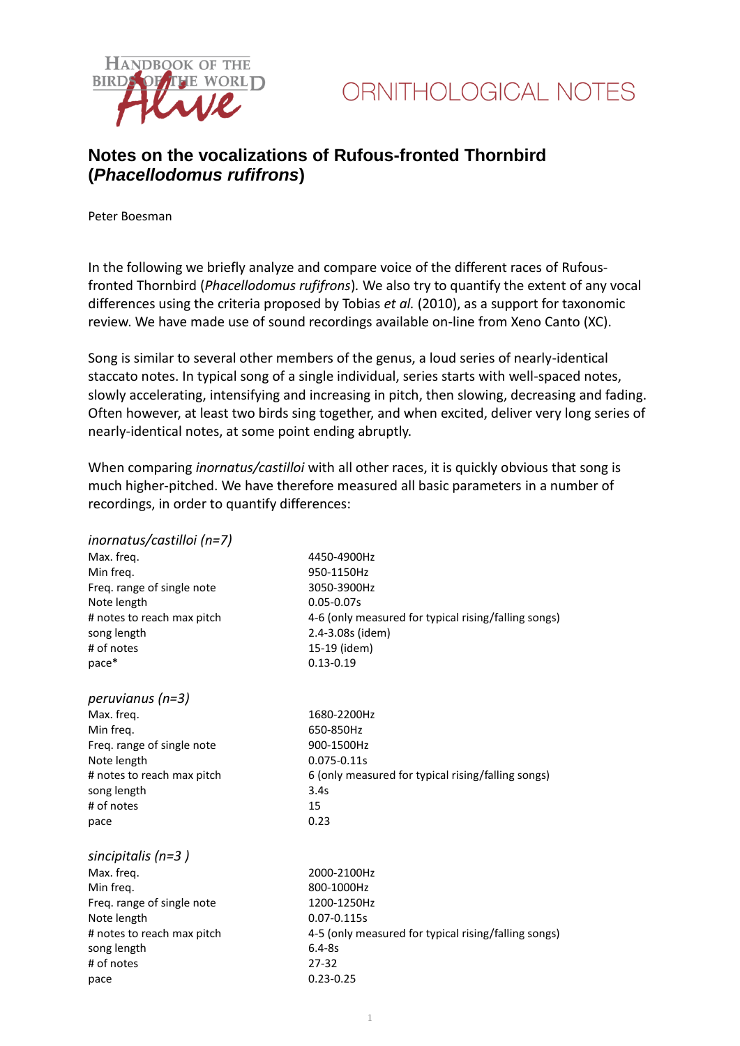



## **Notes on the vocalizations of Rufous-fronted Thornbird (***Phacellodomus rufifrons***)**

Peter Boesman

In the following we briefly analyze and compare voice of the different races of Rufousfronted Thornbird (*Phacellodomus rufifrons*)*.* We also try to quantify the extent of any vocal differences using the criteria proposed by Tobias *et al.* (2010), as a support for taxonomic review. We have made use of sound recordings available on-line from Xeno Canto (XC).

Song is similar to several other members of the genus, a loud series of nearly-identical staccato notes. In typical song of a single individual, series starts with well-spaced notes, slowly accelerating, intensifying and increasing in pitch, then slowing, decreasing and fading. Often however, at least two birds sing together, and when excited, deliver very long series of nearly-identical notes, at some point ending abruptly.

When comparing *inornatus/castilloi* with all other races, it is quickly obvious that song is much higher-pitched. We have therefore measured all basic parameters in a number of recordings, in order to quantify differences:

| inornatus/castilloi (n=7)  |                                                      |
|----------------------------|------------------------------------------------------|
| Max. freq.                 | 4450-4900Hz                                          |
| Min freg.                  | 950-1150Hz                                           |
| Freq. range of single note | 3050-3900Hz                                          |
| Note length                | $0.05 - 0.07s$                                       |
| # notes to reach max pitch | 4-6 (only measured for typical rising/falling songs) |
| song length                | 2.4-3.08s (idem)                                     |
| # of notes                 | 15-19 (idem)                                         |
| $pace*$                    | $0.13 - 0.19$                                        |
| peruvianus (n=3)           |                                                      |
| Max. freq.                 | 1680-2200Hz                                          |
| Min freq.                  | 650-850Hz                                            |
| Freq. range of single note | 900-1500Hz                                           |
| Note length                | 0.075-0.11s                                          |
| # notes to reach max pitch | 6 (only measured for typical rising/falling songs)   |
| song length                | 3.4s                                                 |
| # of notes                 | 15                                                   |
| pace                       | 0.23                                                 |
| sincipitalis ( $n=3$ )     |                                                      |
| Max. freq.                 | 2000-2100Hz                                          |
| Min freq.                  | 800-1000Hz                                           |
| Freq. range of single note | 1200-1250Hz                                          |
| Note length                | 0.07-0.115s                                          |
| # notes to reach max pitch | 4-5 (only measured for typical rising/falling songs) |
| song length                | $6.4 - 8s$                                           |
| # of notes                 | $27 - 32$                                            |
| pace                       | $0.23 - 0.25$                                        |
|                            |                                                      |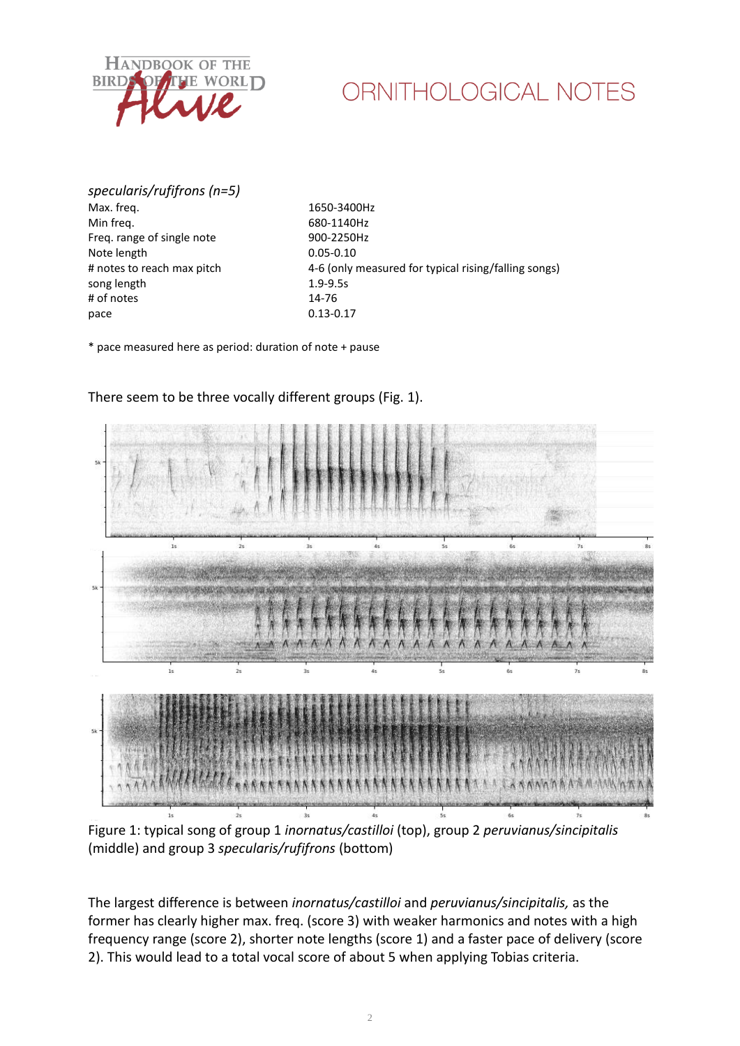

## ORNITHOLOGICAL NOTES

*specularis/rufifrons (n=5)* Max. freq. 1650-3400Hz Min freq. 680-1140Hz Freq. range of single note 900-2250Hz Note length 0.05-0.10 song length 1.9-9.5s # of notes 14-76 pace 0.13-0.17

# notes to reach max pitch 4-6 (only measured for typical rising/falling songs)

\* pace measured here as period: duration of note + pause



There seem to be three vocally different groups (Fig. 1).

Figure 1: typical song of group 1 *inornatus/castilloi* (top), group 2 *peruvianus/sincipitalis* (middle) and group 3 *specularis/rufifrons* (bottom)

The largest difference is between *inornatus/castilloi* and *peruvianus/sincipitalis,* as the former has clearly higher max. freq. (score 3) with weaker harmonics and notes with a high frequency range (score 2), shorter note lengths (score 1) and a faster pace of delivery (score 2). This would lead to a total vocal score of about 5 when applying Tobias criteria.